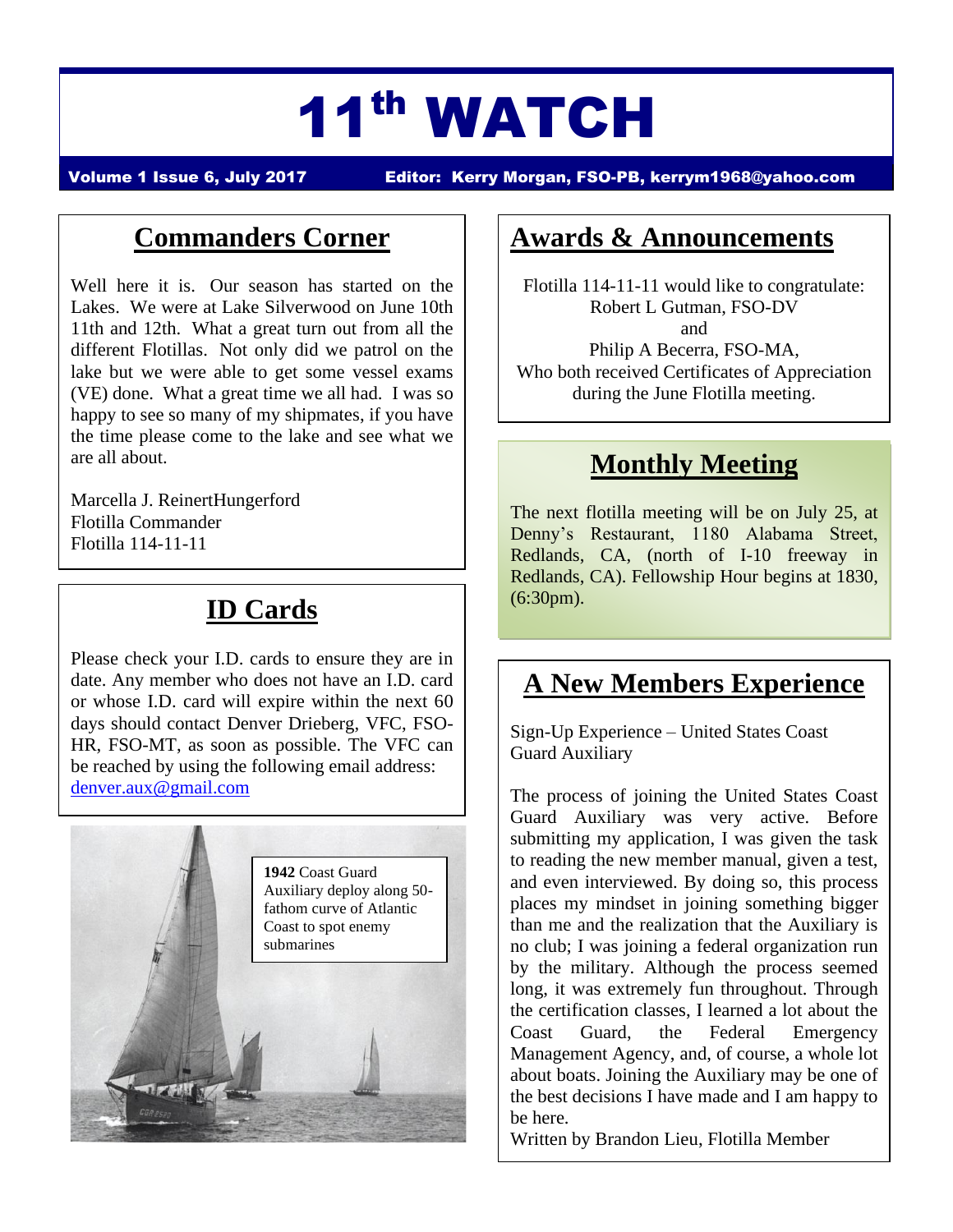# 11th WATCH

Volume 1 Issue 6, July 2017 Editor: Kerry Morgan, FSO-PB, [kerrym1968@yahoo.com](mailto:kerrym1968@yahoo.com)

#### **Commanders Corner**

Well here it is. Our season has started on the Lakes. We were at Lake Silverwood on June 10th 11th and 12th. What a great turn out from all the different Flotillas. Not only did we patrol on the lake but we were able to get some vessel exams (VE) done. What a great time we all had. I was so happy to see so many of my shipmates, if you have the time please come to the lake and see what we are all about.

Marcella J. ReinertHungerford Flotilla Commander Flotilla 114-11-11

## **ID Cards**

Please check your I.D. cards to ensure they are in date. Any member who does not have an I.D. card or whose I.D. card will expire within the next 60 days should contact Denver Drieberg, VFC, FSO-HR, FSO-MT, as soon as possible. The VFC can be reached by using the following email address: [denver.aux@gmail.com](mailto:denver.aux@gmail.com)



#### **Awards & Announcements**

Flotilla 114-11-11 would like to congratulate: Robert L Gutman, FSO-DV and Philip A Becerra, FSO-MA, Who both received Certificates of Appreciation during the June Flotilla meeting.

## **Monthly Meeting**

The next flotilla meeting will be on July 25, at Denny's Restaurant, 1180 Alabama Street, Redlands, CA, (north of I-10 freeway in Redlands, CA). Fellowship Hour begins at 1830, (6:30pm).

## **A New Members Experience**

Sign-Up Experience – United States Coast Guard Auxiliary

The process of joining the United States Coast Guard Auxiliary was very active. Before submitting my application, I was given the task to reading the new member manual, given a test, and even interviewed. By doing so, this process places my mindset in joining something bigger than me and the realization that the Auxiliary is no club; I was joining a federal organization run by the military. Although the process seemed long, it was extremely fun throughout. Through the certification classes, I learned a lot about the Coast Guard, the Federal Emergency Management Agency, and, of course, a whole lot about boats. Joining the Auxiliary may be one of the best decisions I have made and I am happy to be here.

Written by Brandon Lieu, Flotilla Member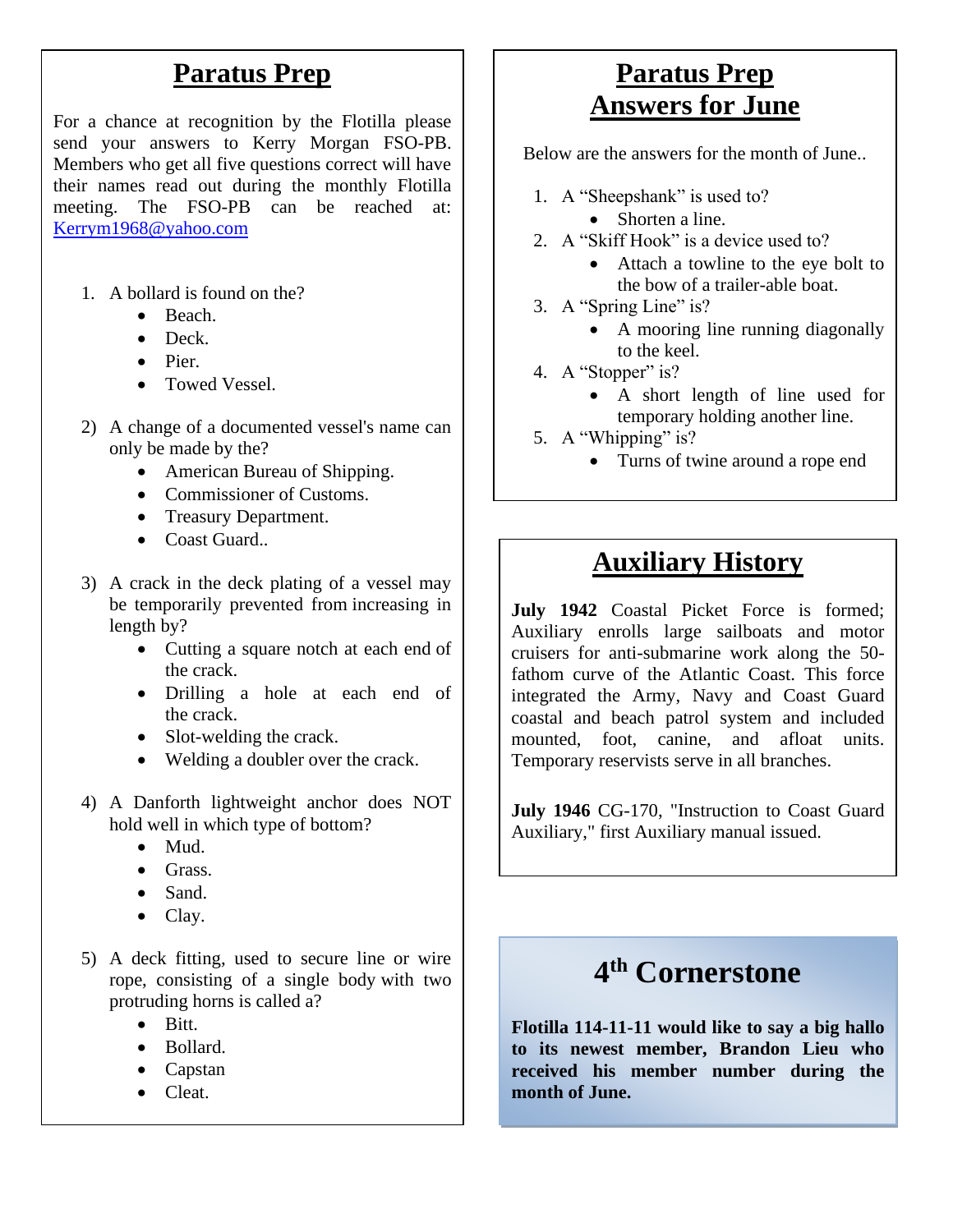#### **Paratus Prep**

For a chance at recognition by the Flotilla please send your answers to Kerry Morgan FSO-PB. Members who get all five questions correct will have their names read out during the monthly Flotilla meeting. The FSO-PB can be reached at: [Kerrym1968@yahoo.com](mailto:Kerrym1968@yahoo.com)

- 1. A bollard is found on the?
	- Beach.
	- Deck.
	- Pier.
	- Towed Vessel.
- 2) A change of a documented vessel's name can only be made by the?
	- American Bureau of Shipping.
	- Commissioner of Customs.
	- Treasury Department.
	- Coast Guard..
- 3) A crack in the deck plating of a vessel may be temporarily prevented from increasing in length by?
	- Cutting a square notch at each end of the crack.
	- Drilling a hole at each end of the crack.
	- Slot-welding the crack.
	- Welding a doubler over the crack.
- 4) A Danforth lightweight anchor does NOT hold well in which type of bottom?
	- Mud.
	- Grass.
	- Sand.
	- Clay.
- 5) A deck fitting, used to secure line or wire rope, consisting of a single body with two protruding horns is called a?
	- Bitt.
	- Bollard.
	- Capstan
	- Cleat.

## **Paratus Prep Answers for June**

Below are the answers for the month of June..

- 1. A "Sheepshank" is used to?
	- Shorten a line.
- 2. A "Skiff Hook" is a device used to?
	- Attach a towline to the eye bolt to the bow of a trailer-able boat.
- 3. A "Spring Line" is?
	- A mooring line running diagonally to the keel.
- 4. A "Stopper" is?
	- A short length of line used for temporary holding another line.
- 5. A "Whipping" is?
	- Turns of twine around a rope end

#### **Auxiliary History**

**July 1942** Coastal Picket Force is formed; Auxiliary enrolls large sailboats and motor cruisers for anti-submarine work along the 50 fathom curve of the Atlantic Coast. This force integrated the Army, Navy and Coast Guard coastal and beach patrol system and included mounted, foot, canine, and afloat units. Temporary reservists serve in all branches.

**July 1946** CG-170, "Instruction to Coast Guard Auxiliary," first Auxiliary manual issued.

## **4 th Cornerstone**

**Flotilla 114-11-11 would like to say a big hallo to its newest member, Brandon Lieu who received his member number during the month of June.**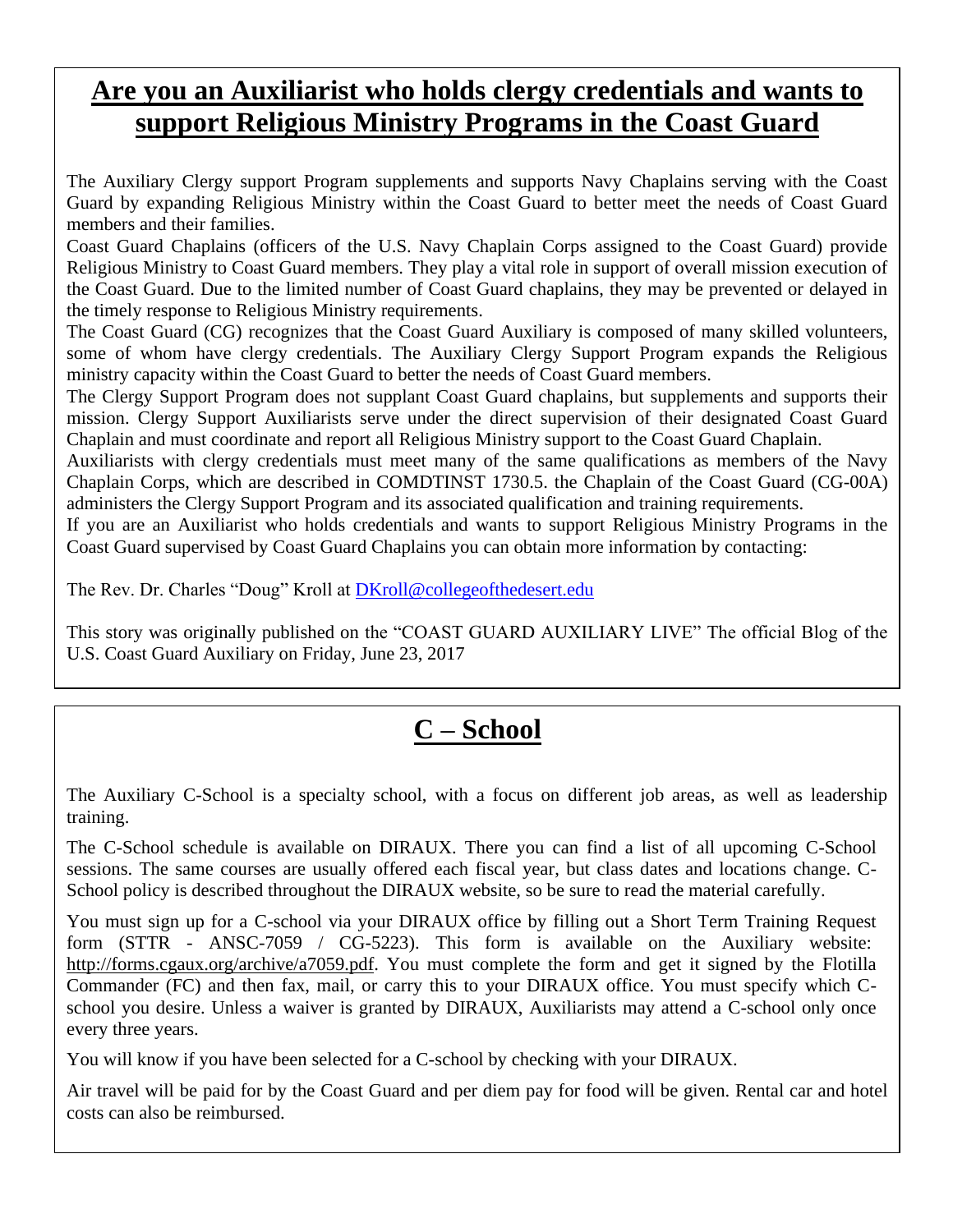## **Are you an Auxiliarist who holds clergy credentials and wants to support Religious Ministry Programs in the Coast Guard**

The Auxiliary Clergy support Program supplements and supports Navy Chaplains serving with the Coast Guard by expanding Religious Ministry within the Coast Guard to better meet the needs of Coast Guard members and their families.

Coast Guard Chaplains (officers of the U.S. Navy Chaplain Corps assigned to the Coast Guard) provide Religious Ministry to Coast Guard members. They play a vital role in support of overall mission execution of the Coast Guard. Due to the limited number of Coast Guard chaplains, they may be prevented or delayed in the timely response to Religious Ministry requirements.

The Coast Guard (CG) recognizes that the Coast Guard Auxiliary is composed of many skilled volunteers, some of whom have clergy credentials. The Auxiliary Clergy Support Program expands the Religious ministry capacity within the Coast Guard to better the needs of Coast Guard members.

The Clergy Support Program does not supplant Coast Guard chaplains, but supplements and supports their mission. Clergy Support Auxiliarists serve under the direct supervision of their designated Coast Guard Chaplain and must coordinate and report all Religious Ministry support to the Coast Guard Chaplain.

Auxiliarists with clergy credentials must meet many of the same qualifications as members of the Navy Chaplain Corps, which are described in COMDTINST 1730.5. the Chaplain of the Coast Guard (CG-00A) administers the Clergy Support Program and its associated qualification and training requirements.

If you are an Auxiliarist who holds credentials and wants to support Religious Ministry Programs in the Coast Guard supervised by Coast Guard Chaplains you can obtain more information by contacting:

The Rev. Dr. Charles "Doug" Kroll at **DKroll@collegeofthedesert.edu** 

This story was originally published on the "COAST GUARD AUXILIARY LIVE" The official Blog of the U.S. Coast Guard Auxiliary on Friday, June 23, 2017

## **C – School**

The Auxiliary C-School is a specialty school, with a focus on different job areas, as well as leadership training.

The C-School schedule is available on DIRAUX. There you can find a list of all upcoming C-School sessions. The same courses are usually offered each fiscal year, but class dates and locations change. C-School policy is described throughout the DIRAUX website, so be sure to read the material carefully.

You must sign up for a C-school via your DIRAUX office by filling out a Short Term Training Request form (STTR - ANSC-7059 / CG-5223). This form is available on the Auxiliary website: [http://forms.cgaux.org/archive/a7059.pdf.](http://forms.cgaux.org/archive/a7059.pdf) You must complete the form and get it signed by the Flotilla Commander (FC) and then fax, mail, or carry this to your DIRAUX office. You must specify which Cschool you desire. Unless a waiver is granted by DIRAUX, Auxiliarists may attend a C-school only once every three years.

You will know if you have been selected for a C-school by checking with your DIRAUX.

Air travel will be paid for by the Coast Guard and per diem pay for food will be given. Rental car and hotel costs can also be reimbursed.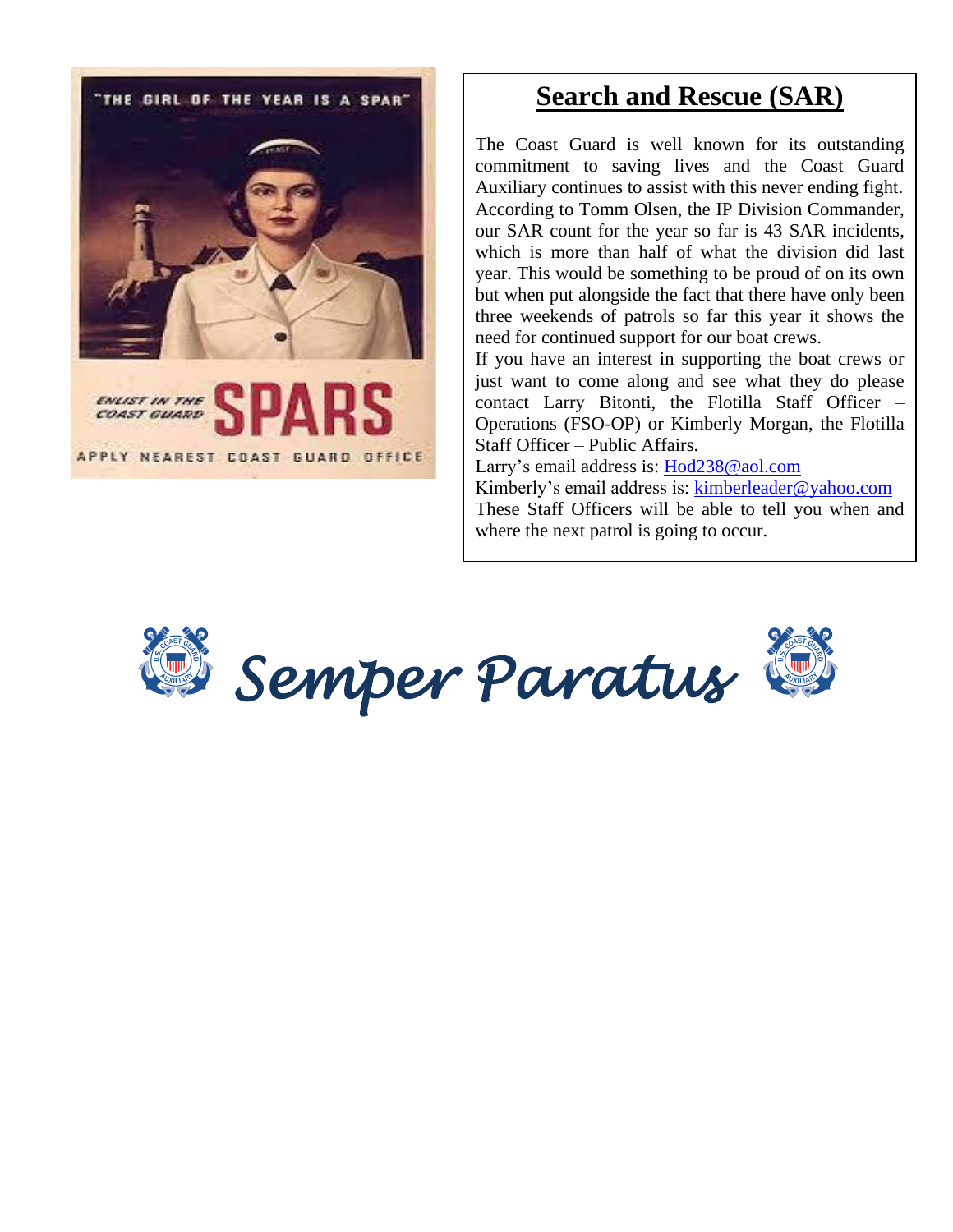THE GIRL OF THE YEAR IS A SPART ENLIST IN THE APPLY NEAREST COAST GUARD OFFICE

#### **Search and Rescue (SAR)**

The Coast Guard is well known for its outstanding commitment to saving lives and the Coast Guard Auxiliary continues to assist with this never ending fight. According to Tomm Olsen, the IP Division Commander, our SAR count for the year so far is 43 SAR incidents, which is more than half of what the division did last year. This would be something to be proud of on its own but when put alongside the fact that there have only been three weekends of patrols so far this year it shows the need for continued support for our boat crews.

If you have an interest in supporting the boat crews or just want to come along and see what they do please contact Larry Bitonti, the Flotilla Staff Officer – Operations (FSO-OP) or Kimberly Morgan, the Flotilla Staff Officer – Public Affairs.

Larry's email address is: [Hod238@aol.com](mailto:Hod238@aol.com)

Kimberly's email address is: [kimberleader@yahoo.com](mailto:kimberleader@yahoo.com) These Staff Officers will be able to tell you when and where the next patrol is going to occur.